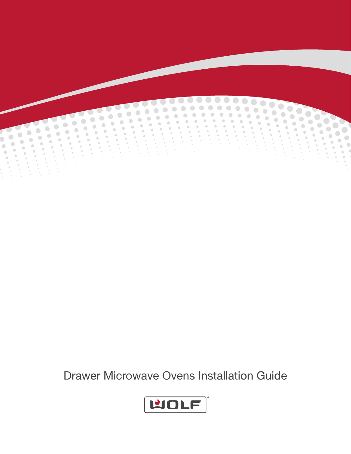

Drawer Microwave Ovens Installation Guide

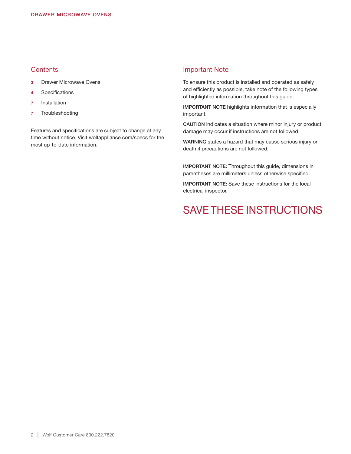# **Contents**

- 3 Drawer Microwave Ovens
- 4 Specifications
- 7 Installation
- 7 Troubleshooting

Features and specifications are subject to change at any time without notice. Visit wolfappliance.com/specs for the most up-to-date information.

# Important Note

To ensure this product is installed and operated as safely and efficiently as possible, take note of the following types of highlighted information throughout this guide:

IMPORTANT NOTE highlights information that is especially important.

CAUTION indicates a situation where minor injury or product damage may occur if instructions are not followed.

WARNING states a hazard that may cause serious injury or death if precautions are not followed.

IMPORTANT NOTE: Throughout this guide, dimensions in parentheses are millimeters unless otherwise specified.

IMPORTANT NOTE: Save these instructions for the local electrical inspector.

# SAVE THESE INSTRUCTIONS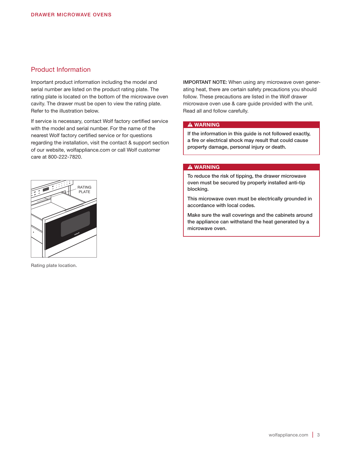# Product Information

Important product information including the model and serial number are listed on the product rating plate. The rating plate is located on the bottom of the microwave oven cavity. The drawer must be open to view the rating plate. Refer to the illustration below.

If service is necessary, contact Wolf factory certified service with the model and serial number. For the name of the nearest Wolf factory certified service or for questions regarding the installation, visit the contact & support section of our website, wolfappliance.com or call Wolf customer care at 800-222-7820.



Rating plate location.

IMPORTANT NOTE: When using any microwave oven generating heat, there are certain safety precautions you should follow. These precautions are listed in the Wolf drawer microwave oven use & care guide provided with the unit. Read all and follow carefully.

#### **A WARNING**

If the information in this guide is not followed exactly, a fire or electrical shock may result that could cause property damage, personal injury or death.

#### **A WARNING**

To reduce the risk of tipping, the drawer microwave oven must be secured by properly installed anti-tip blocking.

This microwave oven must be electrically grounded in accordance with local codes.

Make sure the wall coverings and the cabinets around the appliance can withstand the heat generated by a microwave oven.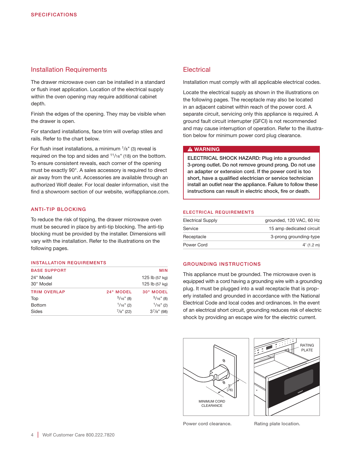# Installation Requirements

The drawer microwave oven can be installed in a standard or flush inset application. Location of the electrical supply within the oven opening may require additional cabinet depth.

Finish the edges of the opening. They may be visible when the drawer is open.

For standard installations, face trim will overlap stiles and rails. Refer to the chart below.

For flush inset installations, a minimum  $\frac{1}{8}$ " (3) reveal is required on the top and sides and  $11/16$ " (18) on the bottom. To ensure consistent reveals, each corner of the opening must be exactly 90°. A sales accessory is required to direct air away from the unit. Accessories are available through an authorized Wolf dealer. For local dealer information, visit the find a showroom section of our website, wolfappliance.com.

#### ANTI-TIP BLOCKING

To reduce the risk of tipping, the drawer microwave oven must be secured in place by anti-tip blocking. The anti-tip blocking must be provided by the installer. Dimensions will vary with the installation. Refer to the illustrations on the following pages.

#### INSTALLATION REQUIREMENTS

| <b>BASE SUPPORT</b> |                 | <b>MIN</b>       |
|---------------------|-----------------|------------------|
| 24" Model           |                 | 125 lb (57 kg)   |
| 30" Model           |                 | 125 lb (57 kg)   |
| <b>TRIM OVERLAP</b> | 24" MODEL       | 30" MODEL        |
| Top                 | $5/16$ " (8)    | $5/16$ " (8)     |
| <b>Bottom</b>       | $1/16$ " (2)    | $1/16$ " (2)     |
| Sides               | $^{7}/8$ " (22) | $3^{7}/8$ " (98) |

# **Electrical**

Installation must comply with all applicable electrical codes.

Locate the electrical supply as shown in the illustrations on the following pages. The receptacle may also be located in an adjacent cabinet within reach of the power cord. A separate circuit, servicing only this appliance is required. A ground fault circuit interrupter (GFCI) is not recommended and may cause interruption of operation. Refer to the illustration below for minimum power cord plug clearance.

#### **A WARNING**

ELECTRICAL SHOCK HAZARD: Plug into a grounded 3-prong outlet. Do not remove ground prong. Do not use an adapter or extension cord. If the power cord is too short, have a qualified electrician or service technician install an outlet near the appliance. Failure to follow these instructions can result in electric shock, fire or death.

#### ELECTRICAL REQUIREMENTS

| <b>Electrical Supply</b> | grounded, 120 VAC, 60 Hz |
|--------------------------|--------------------------|
| Service                  | 15 amp dedicated circuit |
| Receptacle               | 3-prong grounding-type   |
| Power Cord               | $4'$ (1.2 m)             |

#### GROUNDING INSTRUCTIONS

This appliance must be grounded. The microwave oven is equipped with a cord having a grounding wire with a grounding plug. It must be plugged into a wall receptacle that is properly installed and grounded in accordance with the National Electrical Code and local codes and ordinances. In the event of an electrical short circuit, grounding reduces risk of electric shock by providing an escape wire for the electric current.





Power cord clearance. Rating plate location.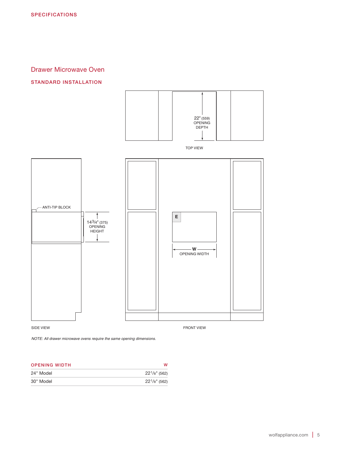# Drawer Microwave Oven

### STANDARD INSTALLATION



*NOTE: All drawer microwave ovens require the same opening dimensions.*

| <b>OPENING WIDTH</b> |                  |
|----------------------|------------------|
| 24" Model            | $22^1/s''$ (562) |
| 30" Model            | $22^1/s''$ (562) |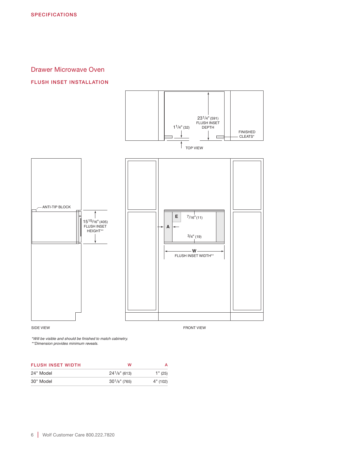# Drawer Microwave Oven

# FLUSH INSET INSTALLATION



*\*Will be visible and should be finished to match cabinetry.*

*\*\*Dimension provides minimum reveals.*

| <b>FLUSH INSET WIDTH</b> | w                  |          |
|--------------------------|--------------------|----------|
| 24" Model                | $24^{1}/8$ " (613) | 1''(25)  |
| 30" Model                | $30^{1}/s$ " (765) | 4" (102) |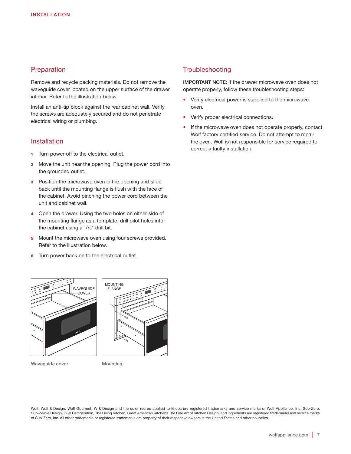# **Preparation**

Remove and recycle packing materials. Do not remove the waveguide cover located on the upper surface of the drawer interior. Refer to the illustration below.

Install an anti-tip block against the rear cabinet wall. Verify the screws are adequately secured and do not penetrate electrical wiring or plumbing.

## Installation

- 1 Turn power off to the electrical outlet.
- 2 Move the unit near the opening. Plug the power cord into the grounded outlet.
- **3** Position the microwave oven in the opening and slide back until the mounting flange is flush with the face of the cabinet. Avoid pinching the power cord between the unit and cabinet wall.
- 4 Open the drawer. Using the two holes on either side of the mounting flange as a template, drill pilot holes into the cabinet using a  $1/16$ " drill bit.
- 5 Mount the microwave oven using four screws provided. Refer to the illustration below.
- 6 Turn power back on to the electrical outlet.

# MOUNTING FLANGE **WAVEGUIDE** COVER

Wavequide cover. Mounting.

# **Troubleshooting**

IMPORTANT NOTE: If the drawer microwave oven does not operate properly, follow these troubleshooting steps:

- Verify electrical power is supplied to the microwave oven.
- Verify proper electrical connections.
- If the microwave oven does not operate properly, contact Wolf factory certified service. Do not attempt to repair the oven. Wolf is not responsible for service required to correct a faulty installation.

Wolf, Wolf & Design, Wolf Gourmet, W & Design and the color red as applied to knobs are registered trademarks and service marks of Wolf Appliance, Inc. Sub-Zero, Sub-Zero & Design, Dual Refrigeration, The Living Kitchen, Great American Kitchens The Fine Art of Kitchen Design, and Ingredients are registered trademarks and service marks of Sub-Zero, Inc. All other trademarks or registered trademarks are property of their respective owners in the United States and other countries.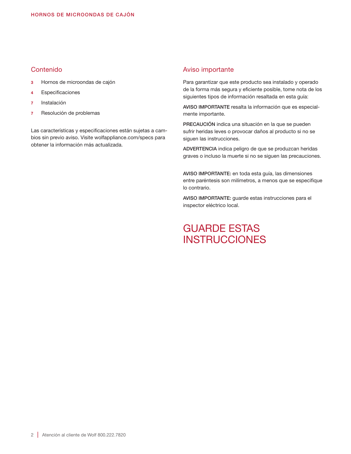# Contenido

- 3 Hornos de microondas de cajón
- 4 Especificaciones
- 7 Instalación
- 7 Resolución de problemas

Las características y especificaciones están sujetas a cambios sin previo aviso. Visite wolfappliance.com/specs para obtener la información más actualizada.

# Aviso importante

Para garantizar que este producto sea instalado y operado de la forma más segura y eficiente posible, tome nota de los siguientes tipos de información resaltada en esta guía:

AVISO IMPORTANTE resalta la información que es especialmente importante.

PRECAUCIÓN indica una situación en la que se pueden sufrir heridas leves o provocar daños al producto si no se siguen las instrucciones.

ADVERTENCIA indica peligro de que se produzcan heridas graves o incluso la muerte si no se siguen las precauciones.

AVISO IMPORTANTE: en toda esta guía, las dimensiones entre paréntesis son milímetros, a menos que se especifique lo contrario.

AVISO IMPORTANTE: guarde estas instrucciones para el inspector eléctrico local.

# GUARDE ESTAS **INSTRUCCIONES**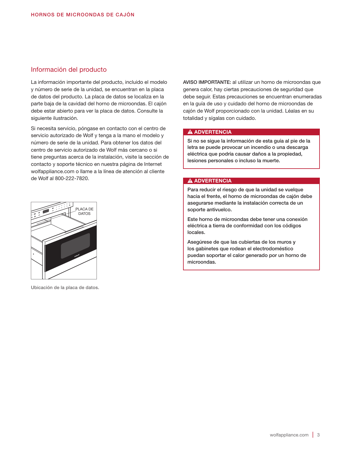# Información del producto

La información importante del producto, incluido el modelo y número de serie de la unidad, se encuentran en la placa de datos del producto. La placa de datos se localiza en la parte baja de la cavidad del horno de microondas. El cajón debe estar abierto para ver la placa de datos. Consulte la siguiente ilustración.

Si necesita servicio, póngase en contacto con el centro de servicio autorizado de Wolf y tenga a la mano el modelo y número de serie de la unidad. Para obtener los datos del centro de servicio autorizado de Wolf más cercano o si tiene preguntas acerca de la instalación, visite la sección de contacto y soporte técnico en nuestra página de Internet wolfappliance.com o llame a la línea de atención al cliente de Wolf al 800-222-7820.



Ubicación de la placa de datos.

AVISO IMPORTANTE: al utilizar un horno de microondas que genera calor, hay ciertas precauciones de seguridad que debe seguir. Estas precauciones se encuentran enumeradas en la guía de uso y cuidado del horno de microondas de cajón de Wolf proporcionado con la unidad. Léalas en su totalidad y sígalas con cuidado.

#### **A ADVERTENCIA**

Si no se sigue la información de esta guía al pie de la letra se puede provocar un incendio o una descarga eléctrica que podría causar daños a la propiedad, lesiones personales o incluso la muerte.

#### **A ADVERTENCIA**

Para reducir el riesgo de que la unidad se vuelque hacia el frente, el horno de microondas de cajón debe asegurarse mediante la instalación correcta de un soporte antivuelco.

Este horno de microondas debe tener una conexión eléctrica a tierra de conformidad con los códigos locales.

Asegúrese de que las cubiertas de los muros y los gabinetes que rodean el electrodoméstico puedan soportar el calor generado por un horno de microondas.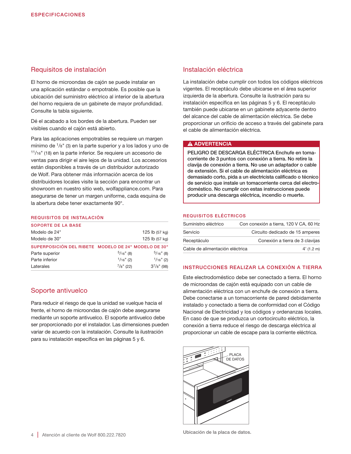# Requisitos de instalación

El horno de microondas de cajón se puede instalar en una aplicación estándar o empotrable. Es posible que la ubicación del suministro eléctrico al interior de la abertura del horno requiera de un gabinete de mayor profundidad. Consulte la tabla siguiente.

Dé el acabado a los bordes de la abertura. Pueden ser visibles cuando el cajón está abierto.

Para las aplicaciones empotrables se requiere un margen mínimo de  $\frac{1}{8}$ " (3) en la parte superior y a los lados y uno de 11/16" (18) en la parte inferior. Se requiere un accesorio de ventas para dirigir el aire lejos de la unidad. Los accesorios están disponibles a través de un distribuidor autorizado de Wolf. Para obtener más información acerca de los distribuidores locales visite la sección para encontrar un showroom en nuestro sitio web, wolfappliance.com. Para asegurarse de tener un margen uniforme, cada esquina de la abertura debe tener exactamente 90°.

#### REQUISITOS DE INSTALACIÓN

| <b>SOPORTE DE LA BASE</b>                            |                 |                  |
|------------------------------------------------------|-----------------|------------------|
| Modelo de 24"                                        |                 | 125 lb (57 kg)   |
| Modelo de 30"                                        |                 | 125 lb (57 kg)   |
| SUPERPOSICIÓN DEL RIBETE MODELO DE 24" MODELO DE 30" |                 |                  |
| Parte superior                                       | $5/16$ " (8)    | $5/16$ " (8)     |
| Parte inferior                                       | $1/16$ " (2)    | $1/16$ " (2)     |
| Laterales                                            | $^{7}/s$ " (22) | $3^{7}/8$ " (98) |

# Soporte antivuelco

Para reducir el riesgo de que la unidad se vuelque hacia el frente, el horno de microondas de cajón debe asegurarse mediante un soporte antivuelco. El soporte antivuelco debe ser proporcionado por el instalador. Las dimensiones pueden variar de acuerdo con la instalación. Consulte la ilustración para su instalación específica en las páginas 5 y 6.

# Instalación eléctrica

La instalación debe cumplir con todos los códigos eléctricos vigentes. El receptáculo debe ubicarse en el área superior izquierda de la abertura. Consulte la ilustración para su instalación específica en las páginas 5 y 6. El receptáculo también puede ubicarse en un gabinete adyacente dentro del alcance del cable de alimentación eléctrica. Se debe proporcionar un orificio de acceso a través del gabinete para el cable de alimentación eléctrica.

#### **A ADVERTENCIA**

PELIGRO DE DESCARGA ELÉCTRICA Enchufe en tomacorriente de 3 puntos con conexión a tierra. No retire la clavija de conexión a tierra. No use un adaptador o cable de extensión. Si el cable de alimentación eléctrica es demasiado corto, pida a un electricista calificado o técnico de servicio que instale un tomacorriente cerca del electrodoméstico. No cumplir con estas instrucciones puede producir una descarga eléctrica, incendio o muerte.

#### REQUISITOS ELÉCTRICOS

| Suministro eléctrico            | Con conexión a tierra, 120 V CA, 60 Hz |
|---------------------------------|----------------------------------------|
| Servicio                        | Circuito dedicado de 15 amperes        |
| Receptáculo                     | Conexión a tierra de 3 clavijas        |
| Cable de alimentación eléctrica | $4'$ (1.2 m)                           |

#### INSTRUCCIONES REALIZAR LA CONEXIÓN A TIERRA

Este electrodoméstico debe ser conectado a tierra. El horno de microondas de cajón está equipado con un cable de alimentación eléctrica con un enchufe de conexión a tierra. Debe conectarse a un tomacorriente de pared debidamente instalado y conectado a tierra de conformidad con el Código Nacional de Electricidad y los códigos y ordenanzas locales. En caso de que se produzca un cortocircuito eléctrico, la conexión a tierra reduce el riesgo de descarga eléctrica al proporcionar un cable de escape para la corriente eléctrica.

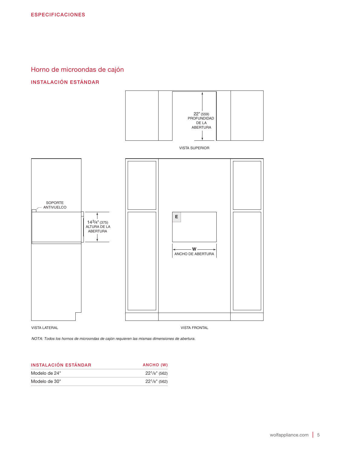Horno de microondas de cajón

# INSTALACIÓN ESTÁNDAR



*NOTA: Todos los hornos de microondas de cajón requieren las mismas dimensiones de abertura.* 

| <b>INSTALACIÓN ESTÁNDAR</b> | ANCHO (W)          |
|-----------------------------|--------------------|
| Modelo de 24"               | $22^1$ /8" (562)   |
| Modelo de 30"               | $22^{1}/8$ " (562) |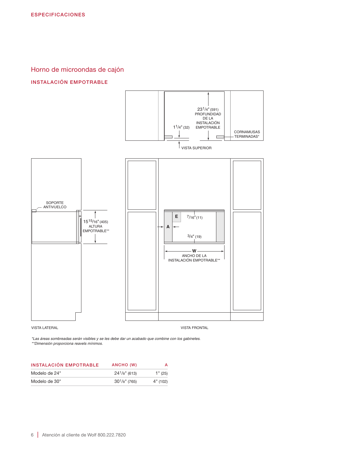Horno de microondas de cajón

# INSTALACIÓN EMPOTRABLE



*\*Las áreas sombreadas serán visibles y se les debe dar un acabado que combine con los gabinetes. \*\*Dimensión proporciona reavels mínimos.*

| INSTALACIÓN EMPOTRABLE | ANCHO (W)          |          |
|------------------------|--------------------|----------|
| Modelo de 24"          | $24^{1}/8$ " (613) | 1" (25)  |
| Modelo de 30"          | $30^{1}/s$ " (765) | 4" (102) |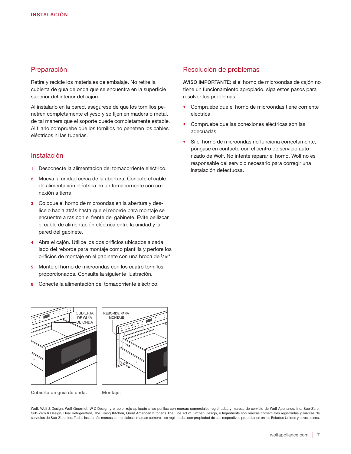# Preparación

Retire y recicle los materiales de embalaje. No retire la cubierta de guía de onda que se encuentra en la superficie superior del interior del cajón.

Al instalarlo en la pared, asegúrese de que los tornillos penetren completamente el yeso y se fijen en madera o metal, de tal manera que el soporte quede completamente estable. Al fijarlo compruebe que los tornillos no penetren los cables eléctricos ni las tuberías.

# Instalación

- 1 Desconecte la alimentación del tomacorriente eléctrico.
- 2 Mueva la unidad cerca de la abertura. Conecte el cable de alimentación eléctrica en un tomacorriente con conexión a tierra.
- 3 Coloque el horno de microondas en la abertura y deslícelo hacia atrás hasta que el reborde para montaje se encuentre a ras con el frente del gabinete. Evite pellizcar el cable de alimentación eléctrica entre la unidad y la pared del gabinete.
- 4 Abra el cajón. Utilice los dos orificios ubicados a cada lado del reborde para montaje como plantilla y perfore los orificios de montaje en el gabinete con una broca de 1/16".
- 5 Monte el horno de microondas con los cuatro tornillos proporcionados. Consulte la siguiente ilustración.
- 6 Conecte la alimentación del tomacorriente eléctrico.

# Resolución de problemas

AVISO IMPORTANTE: si el horno de microondas de cajón no tiene un funcionamiento apropiado, siga estos pasos para resolver los problemas:

- Compruebe que el horno de microondas tiene corriente eléctrica.
- Compruebe que las conexiones eléctricas son las adecuadas.
- Si el horno de microondas no funciona correctamente, póngase en contacto con el centro de servicio autorizado de Wolf. No intente reparar el horno. Wolf no es responsable del servicio necesario para corregir una instalación defectuosa.

REBORDE PARA MONTA.IF CUBIERTA DE GUÍA DE ONDA

Cubierta de guía de onda. Montaje.

Wolf, Wolf & Design, Wolf Gourmet, W & Design y el color rojo aplicado a las perillas son marcas comerciales registradas y marcas de servicio de Wolf Appliance, Inc. Sub-Zero, Sub-Zero & Design, Dual Refrigeration, The Living Kitchen, Great American Kitchens The Fine Art of Kitchen Design, e Ingredients son marcas comerciales registradas y marcas de servicios de Sub-Zero, Inc. Todas las demás marcas comerciales o marcas comerciales registradas son propiedad de sus respectivos propietarios en los Estados Unidos y otros países.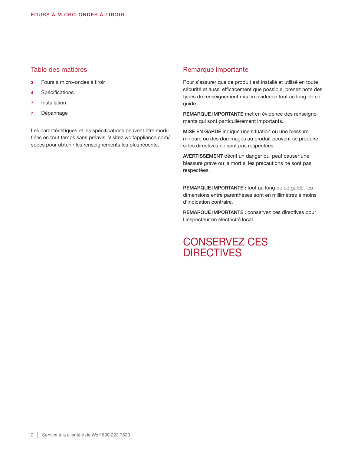# Table des matières

- 3 Fours à micro-ondes à tiroir
- 4 Spécifications
- 7 Installation
- 7 Dépannage

Les caractéristiques et les spécifications peuvent être modifiées en tout temps sans préavis. Visitez wolfappliance.com/ specs pour obtenir les renseignements les plus récents.

# Remarque importante

Pour s'assurer que ce produit est installé et utilisé en toute sécurité et aussi efficacement que possible, prenez note des types de renseignement mis en évidence tout au long de ce guide :

REMARQUE IMPORTANTE met en évidence des renseignements qui sont particulièrement importants.

MISE EN GARDE indique une situation où une blessure mineure ou des dommages au produit peuvent se produire si les directives ne sont pas respectées.

AVERTISSEMENT décrit un danger qui peut causer une blessure grave ou la mort si les précautions ne sont pas respectées.

REMARQUE IMPORTANTE : tout au long de ce guide, les dimensions entre parenthèses sont en millimètres à moins d'indication contraire.

REMARQUE IMPORTANTE : conservez ces directives pour l'inspecteur en électricité local.

# CONSERVEZ CES **DIRECTIVES**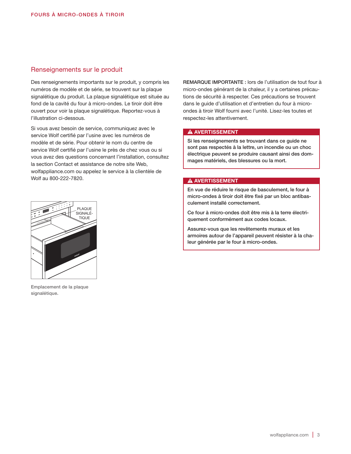# Renseignements sur le produit

Des renseignements importants sur le produit, y compris les numéros de modèle et de série, se trouvent sur la plaque signalétique du produit. La plaque signalétique est située au fond de la cavité du four à micro-ondes. Le tiroir doit être ouvert pour voir la plaque signalétique. Reportez-vous à l'illustration ci-dessous.

Si vous avez besoin de service, communiquez avec le service Wolf certifié par l'usine avec les numéros de modèle et de série. Pour obtenir le nom du centre de service Wolf certifié par l'usine le près de chez vous ou si vous avez des questions concernant l'installation, consultez la section Contact et assistance de notre site Web, wolfappliance.com ou appelez le service à la clientèle de Wolf au 800-222-7820.



Emplacement de la plaque signalétique.

REMARQUE IMPORTANTE : lors de l'utilisation de tout four à micro-ondes générant de la chaleur, il y a certaines précautions de sécurité à respecter. Ces précautions se trouvent dans le guide d'utilisation et d'entretien du four à microondes à tiroir Wolf fourni avec l'unité. Lisez-les toutes et respectez-les attentivement.

#### **A AVERTISSEMENT**

Si les renseignements se trouvant dans ce guide ne sont pas respectés à la lettre, un incendie ou un choc électrique peuvent se produire causant ainsi des dommages matériels, des blessures ou la mort.

#### **A AVERTISSEMENT**

En vue de réduire le risque de basculement, le four à micro-ondes à tiroir doit être fixé par un bloc antibasculement installé correctement.

Ce four à micro-ondes doit être mis à la terre électriquement conformément aux codes locaux.

Assurez-vous que les revêtements muraux et les armoires autour de l'appareil peuvent résister à la chaleur générée par le four à micro-ondes.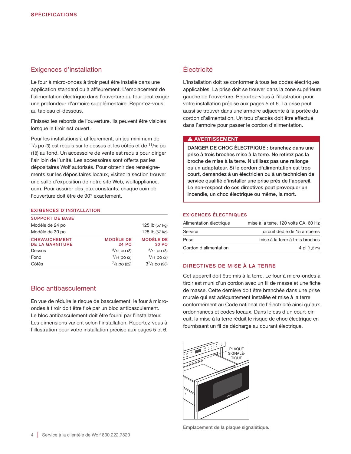# Exigences d'installation

Le four à micro-ondes à tiroir peut être installé dans une application standard ou à affleurement. L'emplacement de l'alimentation électrique dans l'ouverture du four peut exiger une profondeur d'armoire supplémentaire. Reportez-vous au tableau ci-dessous.

Finissez les rebords de l'ouverture. Ils peuvent être visibles lorsque le tiroir est ouvert.

Pour les installations à affleurement, un jeu minimum de  $1/8$  po (3) est requis sur le dessus et les côtés et de  $11/16$  po (18) au fond. Un accessoire de vente est requis pour diriger l'air loin de l'unité. Les accessoires sont offerts par les dépositaires Wolf autorisés. Pour obtenir des renseignements sur les dépositaires locaux, visitez la section trouver une salle d'exposition de notre site Web, wolfappliance. com. Pour assurer des jeux constants, chaque coin de l'ouverture doit être de 90° exactement.

#### EXIGENCES D'INSTALLATION

| Côtés                                          | $^{7}/_8$ po (22)         | $3^{7}/8$ po (98)         |
|------------------------------------------------|---------------------------|---------------------------|
| Fond                                           | $1/16$ po (2)             | $1/16$ po (2)             |
| Dessus                                         | $5/16$ po (8)             | $5/16$ po (8)             |
| <b>CHEVAUCHEMENT</b><br><b>DE LA GARNITURE</b> | <b>MODÈLE DE</b><br>24 PO | <b>MODÈLE DE</b><br>30 PO |
| Modèle de 30 po                                |                           | 125 lb (57 kg)            |
| Modèle de 24 po                                |                           | 125 lb (57 kg)            |
| <b>SUPPORT DE BASE</b>                         |                           |                           |

# Bloc antibasculement

En vue de réduire le risque de basculement, le four à microondes à tiroir doit être fixé par un bloc antibasculement. Le bloc antibasculement doit être fourni par l'installateur. Les dimensions varient selon l'installation. Reportez-vous à l'illustration pour votre installation précise aux pages 5 et 6.

# Électricité

L'installation doit se conformer à tous les codes électriques applicables. La prise doit se trouver dans la zone supérieure gauche de l'ouverture. Reportez-vous à l'illustration pour votre installation précise aux pages 5 et 6. La prise peut aussi se trouver dans une armoire adjacente à la portée du cordon d'alimentation. Un trou d'accès doit être effectué dans l'armoire pour passer le cordon d'alimentation.

# **A AVERTISSEMENT**

DANGER DE CHOC ÉLECTRIQUE : branchez dans une prise à trois broches mise à la terre. Ne retirez pas la broche de mise à la terre. N'utilisez pas une rallonge ou un adaptateur. Si le cordon d'alimentation est trop court, demandez à un électricien ou à un technicien de service qualifié d'installer une prise près de l'appareil. Le non-respect de ces directives peut provoquer un incendie, un choc électrique ou même, la mort.

#### EXIGENCES ÉLECTRIQUES

| Alimentation électrique | mise à la terre, 120 volts CA, 60 Hz |
|-------------------------|--------------------------------------|
| Service                 | circuit dédié de 15 ampères          |
| Prise                   | mise à la terre à trois broches      |
| Cordon d'alimentation   | 4 pi $(1, 2, m)$                     |

#### DIRECTIVES DE MISE À LA TERRE

Cet appareil doit être mis à la terre. Le four à micro-ondes à tiroir est muni d'un cordon avec un fil de masse et une fiche de masse. Cette dernière doit être branchée dans une prise murale qui est adéquatement installée et mise à la terre conformément au Code national de l'électricité ainsi qu'aux ordonnances et codes locaux. Dans le cas d'un court-circuit, la mise à la terre réduit le risque de choc électrique en fournissant un fil de décharge au courant électrique.



Emplacement de la plaque signalétique.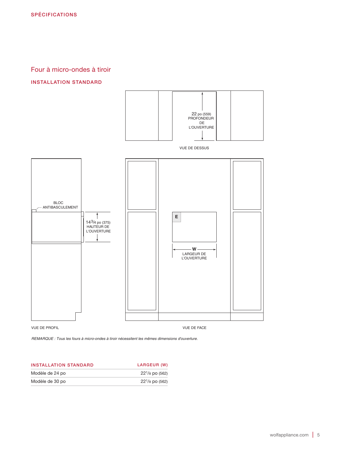# Four à micro-ondes à tiroir

# INSTALLATION STANDARD



*REMARQUE : Tous les fours à micro-ondes à tiroir nécessitent les mêmes dimensions d'ouverture.*

| <b>INSTALLATION STANDARD</b> | LARGEUR (W)                 |
|------------------------------|-----------------------------|
| Modèle de 24 po              | $22^{1}/8$ po (562)         |
| Modèle de 30 po              | 22 <sup>1</sup> /8 po (562) |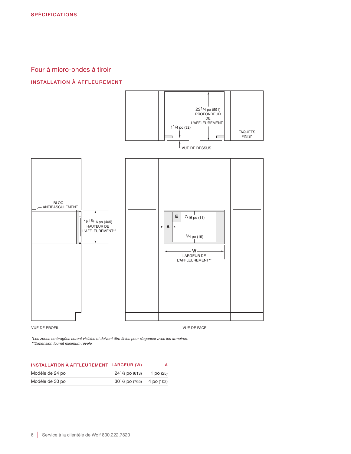# Four à micro-ondes à tiroir

# INSTALLATION À AFFLEUREMENT



*\*Les zones ombragées seront visibles et doivent être finies pour s'agencer avec les armoires. \*\*Dimension fournit minimum révèle.*

| INSTALLATION À AFFLEUREMENT LARGEUR (W) |                             | А         |
|-----------------------------------------|-----------------------------|-----------|
| Modèle de 24 po                         | $24^{1}/8$ po (613)         | 1 po (25) |
| Modèle de 30 po                         | $301/8$ po (765) 4 po (102) |           |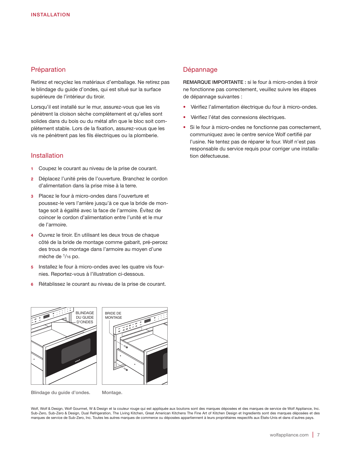# Préparation

Retirez et recyclez les matériaux d'emballage. Ne retirez pas le blindage du guide d'ondes, qui est situé sur la surface supérieure de l'intérieur du tiroir.

Lorsqu'il est installé sur le mur, assurez-vous que les vis pénètrent la cloison sèche complètement et qu'elles sont solides dans du bois ou du métal afin que le bloc soit complètement stable. Lors de la fixation, assurez-vous que les vis ne pénètrent pas les fils électriques ou la plomberie.

# Installation

- 1 Coupez le courant au niveau de la prise de courant.
- 2 Déplacez l'unité près de l'ouverture. Branchez le cordon d'alimentation dans la prise mise à la terre.
- 3 Placez le four à micro-ondes dans l'ouverture et poussez-le vers l'arrière jusqu'à ce que la bride de montage soit à égalité avec la face de l'armoire. Évitez de coincer le cordon d'alimentation entre l'unité et le mur de l'armoire.
- 4 Ouvrez le tiroir. En utilisant les deux trous de chaque côté de la bride de montage comme gabarit, pré-percez des trous de montage dans l'armoire au moyen d'une mèche de <sup>1</sup>/16 po.
- 5 Installez le four à micro-ondes avec les quatre vis fournies. Reportez-vous à l'illustration ci-dessous.
- Rétablissez le courant au niveau de la prise de courant.

# Dépannage

REMARQUE IMPORTANTE : si le four à micro-ondes à tiroir ne fonctionne pas correctement, veuillez suivre les étapes de dépannage suivantes :

- Vérifiez l'alimentation électrique du four à micro-ondes.
- Vérifiez l'état des connexions électriques.
- Si le four à micro-ondes ne fonctionne pas correctement, communiquez avec le centre service Wolf certifié par l'usine. Ne tentez pas de réparer le four. Wolf n'est pas responsable du service requis pour corriger une installation défectueuse.





Blindage du guide d'ondes. Montage.

Wolf, Wolf & Design, Wolf Gourmet, W & Design et la couleur rouge qui est appliquée aux boutons sont des marques déposées et des marques de service de Wolf Appliance, Inc. Sub-Zero, Sub-Zero & Design, Dual Refrigeration, The Living Kitchen, Great American Kitchens The Fine Art of Kitchen Design et Ingredients sont des marques déposées et des marques de service de Sub-Zero, Inc. Toutes les autres marques de commerce ou déposées appartiennent à leurs propriétaires respectifs aux États-Unis et dans d'autres pays.